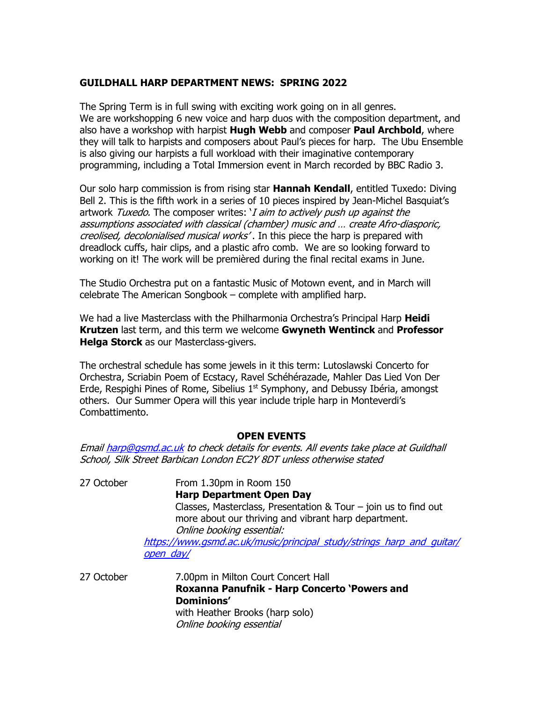## **GUILDHALL HARP DEPARTMENT NEWS: SPRING 2022**

The Spring Term is in full swing with exciting work going on in all genres. We are workshopping 6 new voice and harp duos with the composition department, and also have a workshop with harpist **Hugh Webb** and composer **Paul Archbold**, where they will talk to harpists and composers about Paul's pieces for harp. The Ubu Ensemble is also giving our harpists a full workload with their imaginative contemporary programming, including a Total Immersion event in March recorded by BBC Radio 3.

Our solo harp commission is from rising star **Hannah Kendall**, entitled Tuxedo: Diving Bell 2. This is the fifth work in a series of 10 pieces inspired by Jean-Michel Basquiat's artwork Tuxedo. The composer writes: *'I aim to actively push up against the* assumptions associated with classical (chamber) music and … create Afro-diasporic, creolised, decolonialised musical works'. In this piece the harp is prepared with dreadlock cuffs, hair clips, and a plastic afro comb. We are so looking forward to working on it! The work will be premièred during the final recital exams in June.

The Studio Orchestra put on a fantastic Music of Motown event, and in March will celebrate The American Songbook – complete with amplified harp.

We had a live Masterclass with the Philharmonia Orchestra's Principal Harp **Heidi Krutzen** last term, and this term we welcome **Gwyneth Wentinck** and **Professor Helga Storck** as our Masterclass-givers.

The orchestral schedule has some jewels in it this term: Lutoslawski Concerto for Orchestra, Scriabin Poem of Ecstacy, Ravel Schéhérazade, Mahler Das Lied Von Der Erde, Respighi Pines of Rome, Sibelius  $1<sup>st</sup>$  Symphony, and Debussy Ibéria, amongst others. Our Summer Opera will this year include triple harp in Monteverdi's Combattimento.

## **OPEN EVENTS**

Emai[l harp@gsmd.ac.uk](mailto:harp@gsmd.ac.uk) to check details for events. All events take place at Guildhall School, Silk Street Barbican London EC2Y 8DT unless otherwise stated

27 October From 1.30pm in Room 150 **Harp Department Open Day** Classes, Masterclass, Presentation & Tour – join us to find out more about our thriving and vibrant harp department. Online booking essential: [https://www.gsmd.ac.uk/music/principal\\_study/strings\\_harp\\_and\\_guitar/](https://www.gsmd.ac.uk/music/principal_study/strings_harp_and_guitar/open_day/) [open\\_day/](https://www.gsmd.ac.uk/music/principal_study/strings_harp_and_guitar/open_day/) 27 October 27.00pm in Milton Court Concert Hall

**Roxanna Panufnik - Harp Concerto 'Powers and Dominions'** with Heather Brooks (harp solo) Online booking essential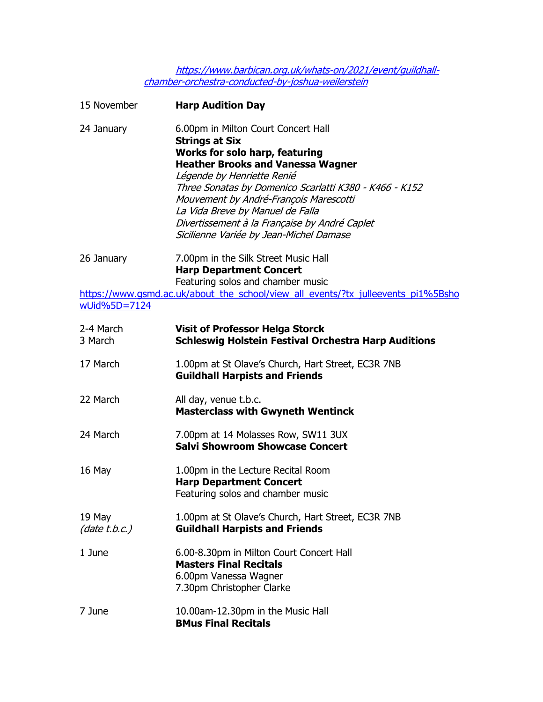[https://www.barbican.org.uk/whats-on/2021/event/guildhall](https://www.barbican.org.uk/whats-on/2021/event/guildhall-chamber-orchestra-conducted-by-joshua-weilerstein)[chamber-orchestra-conducted-by-joshua-weilerstein](https://www.barbican.org.uk/whats-on/2021/event/guildhall-chamber-orchestra-conducted-by-joshua-weilerstein)

| 15 November             | <b>Harp Audition Day</b>                                                                                                                                                                                                                                                                                                                                                                                            |
|-------------------------|---------------------------------------------------------------------------------------------------------------------------------------------------------------------------------------------------------------------------------------------------------------------------------------------------------------------------------------------------------------------------------------------------------------------|
| 24 January              | 6.00pm in Milton Court Concert Hall<br><b>Strings at Six</b><br><b>Works for solo harp, featuring</b><br><b>Heather Brooks and Vanessa Wagner</b><br>Légende by Henriette Renié<br>Three Sonatas by Domenico Scarlatti K380 - K466 - K152<br>Mouvement by André-François Marescotti<br>La Vida Breve by Manuel de Falla<br>Divertissement à la Française by André Caplet<br>Sicilienne Variée by Jean-Michel Damase |
| 26 January              | 7.00pm in the Silk Street Music Hall<br><b>Harp Department Concert</b><br>Featuring solos and chamber music                                                                                                                                                                                                                                                                                                         |
| wUid%5D=7124            | https://www.gsmd.ac.uk/about_the_school/view_all_events/?tx_julleevents_pi1%5Bsho                                                                                                                                                                                                                                                                                                                                   |
| 2-4 March<br>3 March    | <b>Visit of Professor Helga Storck</b><br><b>Schleswig Holstein Festival Orchestra Harp Auditions</b>                                                                                                                                                                                                                                                                                                               |
| 17 March                | 1.00pm at St Olave's Church, Hart Street, EC3R 7NB<br><b>Guildhall Harpists and Friends</b>                                                                                                                                                                                                                                                                                                                         |
| 22 March                | All day, venue t.b.c.<br><b>Masterclass with Gwyneth Wentinck</b>                                                                                                                                                                                                                                                                                                                                                   |
| 24 March                | 7.00pm at 14 Molasses Row, SW11 3UX<br><b>Salvi Showroom Showcase Concert</b>                                                                                                                                                                                                                                                                                                                                       |
| 16 May                  | 1.00pm in the Lecture Recital Room<br><b>Harp Department Concert</b><br>Featuring solos and chamber music                                                                                                                                                                                                                                                                                                           |
| 19 May<br>(data t.b.c.) | 1.00pm at St Olave's Church, Hart Street, EC3R 7NB<br><b>Guildhall Harpists and Friends</b>                                                                                                                                                                                                                                                                                                                         |
| 1 June                  | 6.00-8.30pm in Milton Court Concert Hall<br><b>Masters Final Recitals</b><br>6.00pm Vanessa Wagner<br>7.30pm Christopher Clarke                                                                                                                                                                                                                                                                                     |
| 7 June                  | 10.00am-12.30pm in the Music Hall<br><b>BMus Final Recitals</b>                                                                                                                                                                                                                                                                                                                                                     |